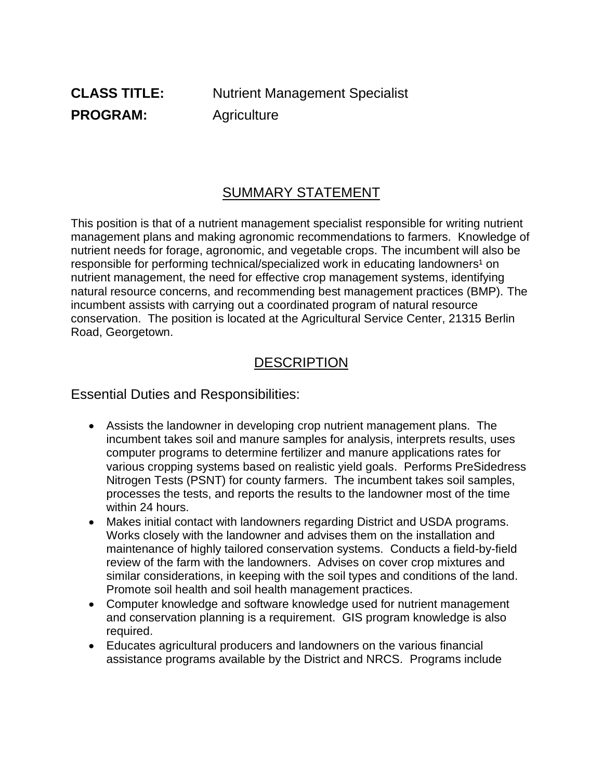#### SUMMARY STATEMENT

This position is that of a nutrient management specialist responsible for writing nutrient management plans and making agronomic recommendations to farmers. Knowledge of nutrient needs for forage, agronomic, and vegetable crops. The incumbent will also be responsible for performing technical/specialized work in educating landowners<sup>1</sup> on nutrient management, the need for effective crop management systems, identifying natural resource concerns, and recommending best management practices (BMP). The incumbent assists with carrying out a coordinated program of natural resource conservation. The position is located at the Agricultural Service Center, 21315 Berlin Road, Georgetown.

### **DESCRIPTION**

Essential Duties and Responsibilities:

- Assists the landowner in developing crop nutrient management plans. The incumbent takes soil and manure samples for analysis, interprets results, uses computer programs to determine fertilizer and manure applications rates for various cropping systems based on realistic yield goals. Performs PreSidedress Nitrogen Tests (PSNT) for county farmers. The incumbent takes soil samples, processes the tests, and reports the results to the landowner most of the time within 24 hours.
- Makes initial contact with landowners regarding District and USDA programs. Works closely with the landowner and advises them on the installation and maintenance of highly tailored conservation systems. Conducts a field-by-field review of the farm with the landowners. Advises on cover crop mixtures and similar considerations, in keeping with the soil types and conditions of the land. Promote soil health and soil health management practices.
- Computer knowledge and software knowledge used for nutrient management and conservation planning is a requirement. GIS program knowledge is also required.
- Educates agricultural producers and landowners on the various financial assistance programs available by the District and NRCS. Programs include